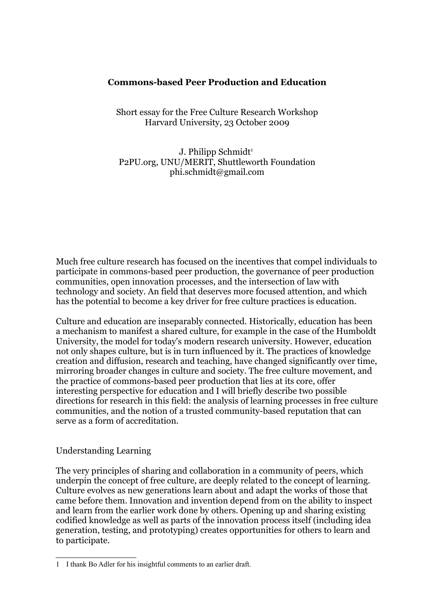## **Commons-based Peer Production and Education**

Short essay for the Free Culture Research Workshop Harvard University, 23 October 2009

J. Philipp Schmidt<sup>[1](#page-0-0)</sup> P2PU.org, UNU/MERIT, Shuttleworth Foundation phi.schmidt@gmail.com

Much free culture research has focused on the incentives that compel individuals to participate in commons-based peer production, the governance of peer production communities, open innovation processes, and the intersection of law with technology and society. An field that deserves more focused attention, and which has the potential to become a key driver for free culture practices is education.

Culture and education are inseparably connected. Historically, education has been a mechanism to manifest a shared culture, for example in the case of the Humboldt University, the model for today's modern research university. However, education not only shapes culture, but is in turn influenced by it. The practices of knowledge creation and diffusion, research and teaching, have changed significantly over time, mirroring broader changes in culture and society. The free culture movement, and the practice of commons-based peer production that lies at its core, offer interesting perspective for education and I will briefly describe two possible directions for research in this field: the analysis of learning processes in free culture communities, and the notion of a trusted community-based reputation that can serve as a form of accreditation.

## Understanding Learning

The very principles of sharing and collaboration in a community of peers, which underpin the concept of free culture, are deeply related to the concept of learning. Culture evolves as new generations learn about and adapt the works of those that came before them. Innovation and invention depend from on the ability to inspect and learn from the earlier work done by others. Opening up and sharing existing codified knowledge as well as parts of the innovation process itself (including idea generation, testing, and prototyping) creates opportunities for others to learn and to participate.

<span id="page-0-0"></span><sup>1</sup> I thank Bo Adler for his insightful comments to an earlier draft.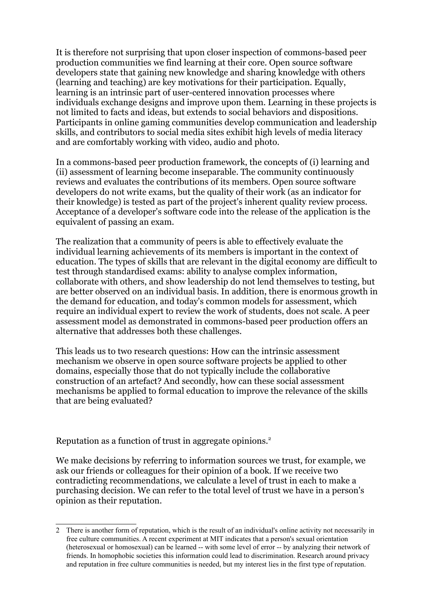It is therefore not surprising that upon closer inspection of commons-based peer production communities we find learning at their core. Open source software developers state that gaining new knowledge and sharing knowledge with others (learning and teaching) are key motivations for their participation. Equally, learning is an intrinsic part of user-centered innovation processes where individuals exchange designs and improve upon them. Learning in these projects is not limited to facts and ideas, but extends to social behaviors and dispositions. Participants in online gaming communities develop communication and leadership skills, and contributors to social media sites exhibit high levels of media literacy and are comfortably working with video, audio and photo.

In a commons-based peer production framework, the concepts of (i) learning and (ii) assessment of learning become inseparable. The community continuously reviews and evaluates the contributions of its members. Open source software developers do not write exams, but the quality of their work (as an indicator for their knowledge) is tested as part of the project's inherent quality review process. Acceptance of a developer's software code into the release of the application is the equivalent of passing an exam.

The realization that a community of peers is able to effectively evaluate the individual learning achievements of its members is important in the context of education. The types of skills that are relevant in the digital economy are difficult to test through standardised exams: ability to analyse complex information, collaborate with others, and show leadership do not lend themselves to testing, but are better observed on an individual basis. In addition, there is enormous growth in the demand for education, and today's common models for assessment, which require an individual expert to review the work of students, does not scale. A peer assessment model as demonstrated in commons-based peer production offers an alternative that addresses both these challenges.

This leads us to two research questions: How can the intrinsic assessment mechanism we observe in open source software projects be applied to other domains, especially those that do not typically include the collaborative construction of an artefact? And secondly, how can these social assessment mechanisms be applied to formal education to improve the relevance of the skills that are being evaluated?

Reputation as a function of trust in aggregate opinions.<sup>[2](#page-1-0)</sup>

We make decisions by referring to information sources we trust, for example, we ask our friends or colleagues for their opinion of a book. If we receive two contradicting recommendations, we calculate a level of trust in each to make a purchasing decision. We can refer to the total level of trust we have in a person's opinion as their reputation.

<span id="page-1-0"></span><sup>2</sup> There is another form of reputation, which is the result of an individual's online activity not necessarily in free culture communities. A recent experiment at MIT indicates that a person's sexual orientation (heterosexual or homosexual) can be learned -- with some level of error -- by analyzing their network of friends. In homophobic societies this information could lead to discrimination. Research around privacy and reputation in free culture communities is needed, but my interest lies in the first type of reputation.